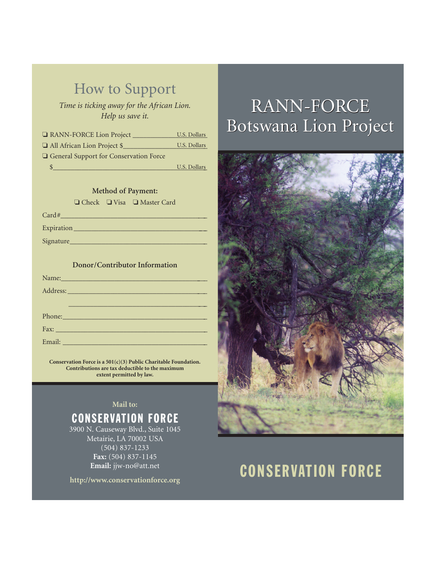## How to Support

*Time is ticking away for the African Lion. Help us save it.*

❏ RANN-FORCE Lion Project \_\_\_\_\_\_\_\_\_\_\_\_\_\_\_\_\_\_\_\_\_ U.S. Dollars

❏ All African Lion Project \$\_\_\_\_\_\_\_\_\_\_\_\_\_\_\_\_\_\_\_\_\_\_\_\_ U.S. Dollars

❏ General Support for Conservation Force  $\frac{1}{2}$ 

U.S. Dollars

#### **Method of Payment:**

❏ Check ❏ Visa ❏ Master Card  $Card#$  $\text{Expiration}$ Signature\_\_\_\_\_\_\_\_\_\_\_\_\_\_\_\_\_\_\_\_\_\_\_\_\_\_\_\_\_\_\_\_\_\_\_\_\_\_\_

#### **Donor/Contributor Information**

| Name: Name and Allen and Allen and Allen and Allen and Allen and Allen and Allen and Allen and Allen and Allen |
|----------------------------------------------------------------------------------------------------------------|
|                                                                                                                |
|                                                                                                                |
| Phone:                                                                                                         |
|                                                                                                                |
|                                                                                                                |

**Conservation Force is a 501(c)(3) Public Charitable Foundation. Contributions are tax deductible to the maximum extent permitted by law.**

### **Mail to:** CONSERVATION FORCE

3900 N. Causeway Blvd., Suite 1045 Metairie, LA 70002 USA (504) 837-1233 **Fax:** (504) 837-1145 **Email:** jjw-no@att.net

**http://www.conservationforce.org**

# RANN-FORCE RANN-FORCE Botswana Lion Project Botswana Lion Project



# CONSERVATION FORCE